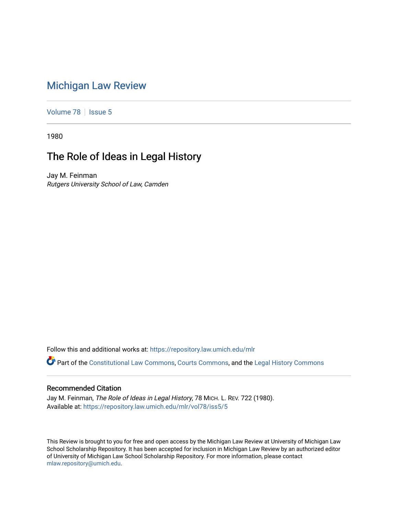# [Michigan Law Review](https://repository.law.umich.edu/mlr)

[Volume 78](https://repository.law.umich.edu/mlr/vol78) | [Issue 5](https://repository.law.umich.edu/mlr/vol78/iss5)

1980

# The Role of Ideas in Legal History

Jay M. Feinman Rutgers University School of Law, Camden

Follow this and additional works at: [https://repository.law.umich.edu/mlr](https://repository.law.umich.edu/mlr?utm_source=repository.law.umich.edu%2Fmlr%2Fvol78%2Fiss5%2F5&utm_medium=PDF&utm_campaign=PDFCoverPages) 

Part of the [Constitutional Law Commons,](http://network.bepress.com/hgg/discipline/589?utm_source=repository.law.umich.edu%2Fmlr%2Fvol78%2Fiss5%2F5&utm_medium=PDF&utm_campaign=PDFCoverPages) [Courts Commons,](http://network.bepress.com/hgg/discipline/839?utm_source=repository.law.umich.edu%2Fmlr%2Fvol78%2Fiss5%2F5&utm_medium=PDF&utm_campaign=PDFCoverPages) and the [Legal History Commons](http://network.bepress.com/hgg/discipline/904?utm_source=repository.law.umich.edu%2Fmlr%2Fvol78%2Fiss5%2F5&utm_medium=PDF&utm_campaign=PDFCoverPages) 

### Recommended Citation

Jay M. Feinman, The Role of Ideas in Legal History, 78 MICH. L. REV. 722 (1980). Available at: [https://repository.law.umich.edu/mlr/vol78/iss5/5](https://repository.law.umich.edu/mlr/vol78/iss5/5?utm_source=repository.law.umich.edu%2Fmlr%2Fvol78%2Fiss5%2F5&utm_medium=PDF&utm_campaign=PDFCoverPages)

This Review is brought to you for free and open access by the Michigan Law Review at University of Michigan Law School Scholarship Repository. It has been accepted for inclusion in Michigan Law Review by an authorized editor of University of Michigan Law School Scholarship Repository. For more information, please contact [mlaw.repository@umich.edu.](mailto:mlaw.repository@umich.edu)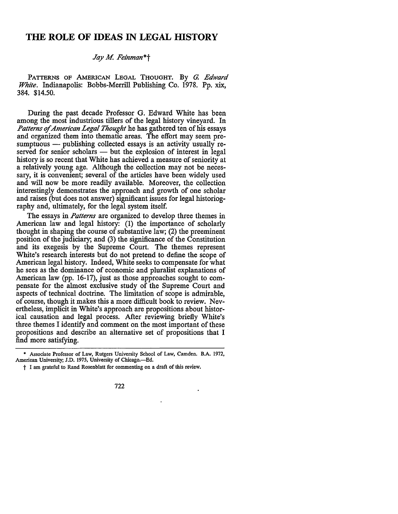## **THE ROLE OF IDEAS IN LEGAL HISTORY**

### *Jay M. Feinman\*t*

PATTERNS OF AMERICAN LEGAL THOUGHT. By *G. Edward White.* Indianapolis: Bobbs-Merrill Publishing Co. 1978. Pp. xix, 384. \$14.50.

During the past decade Professor G. Edward White has been among the most industrious tillers of the legal history vineyard. In *Patterns of American Legal Thought* he has gathered ten of his essays and organized them into thematic areas. The effort may seem presumptuous  $-$  publishing collected essays is an activity usually reserved for senior scholars  $-$  but the explosion of interest in legal history is so recent that White has achieved a measure of seniority at a relatively young age. Although the collection may not be necessary, it is convenient; several of the articles have been widely used and will now be more readily available. Moreover, the collection interestingly demonstrates the approach and growth of one scholar and raises (but does not answer) significant issues for legal historiography and, ultimately, for the legal system itself.

The essays in *Patterns* are organized to develop three themes in American law and legal history: (I) the importance of scholarly thought in shaping the course of substantive law; (2) the preeminent position of the judiciary; and (3) the significance of the Constitution and its exegesis by the Supreme Court. The themes represent White's research interests but do not pretend to define the scope of American legal history. Indeed, White seeks to compensate for what he sees as the dominance of economic and pluralist explanations of American law (pp. 16-17), just as those approaches sought to compensate for the almost exclusive study of the Supreme Court and aspects of technical doctrine. The limitation of scope is admirable, of course, though it makes this a more difficult book to review. Nevertheless, implicit in White's approach are propositions about historical causation and legal process. After reviewing briefly White's three themes I identify and comment on the most important of these propositions and describe an alternative set of propositions that I find more satisfying.

<sup>\*</sup> Associate Professor of Law, Rutgers University School of Law, Camden. B.A. 1972, American University; J.D. 1975, University of Chicago.-Ed.

<sup>&</sup>lt;sup>†</sup> I am grateful to Rand Rosenblatt for commenting on a draft of this review.

<sup>722</sup>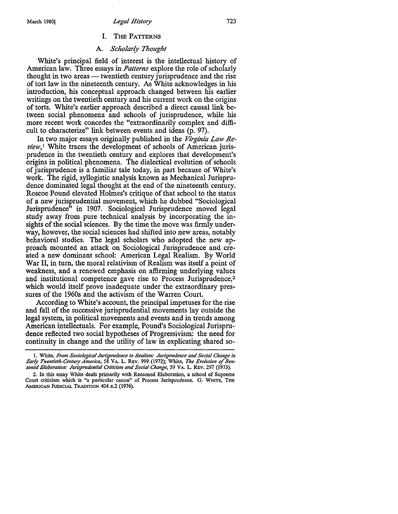#### I. THE PATTERNS

#### A. *Scholarly Thought*

White's principal field of interest is the intellectual history of American law. Three essays in *Patterns* explore the role of scholarly thought in two areas — twentieth century jurisprudence and the rise of tort law in the nineteenth century. As White acknowledges in his introduction, his conceptual approach changed between his earlier writings on the twentieth century and his current work on the origins of torts. White's earlier approach described a direct causal link between social phenomena and schools of jurisprudence, while his more recent work concedes the "extraordinarily complex and difficult to characterize" link between events and ideas (p. 97).

In two major essays originally published in the *Virginia Law Review*,<sup>1</sup> White traces the development of schools of American jurisprudence in the twentieth century and explores that development's origins in political phenomena. The dialectical evolution of schools of jurisprudence is a familiar tale today, in part because of White's work. The rigid, syllogistic analysis known as Mechanical Jurisprudence dominated legal thought at the end of the nineteenth century. Roscoe Pound elevated Holmes's critique of that school to the status of a new jurisprudential movement, which he dubbed "Sociological Jurisprudence" in 1907. Sociological Jurisprudence moved legal study away from pure technical analysis by incorporating the insights of the social sciences. By the time the move was firmly underway, however, the social sciences had shifted into new areas, notably behavioral studies. The legal scholars who adopted the new approach mounted an attack on Sociological Jurisprudence and created a new dominant school: American Legal Realism. By World War II, in tum, the moral relativism of Realism was itself a point of weakness, and a renewed emphasis on affirming underlying values and institutional competence gave rise to Process Jurisprudence,2 which would itself prove inadequate under the extraordinary pressures of the 1960s and the activism of the Warren Court.

According to White's account, the principal impetuses for the rise and fall of the successive jurisprudential movements lay outside the legal system, in political movements and events and in trends among American intellectuals. For example, Pound's Sociological Jurisprudence reflected two social hypotheses of Progressivism: the need for continuity in change and the utility of law in explicating shared so-

I. White, *From Sociological Jurisprudence to Realism: Jurisprudence and Social Change in Early Twentieth-Century America,* 58 VA. L. REV. 999 (1972); White, *The Evolution of Reasoned Elaboration: Jurisprudential Criticism and Social Change,* 59 VA. L. REV. 297 (1973).

<sup>2.</sup> In this essay White deals primarily with Reasoned Elaboration, a school of Supreme Court criticism which is "a particular canon" of Process Jurisprudence. G. WHITE, THE AMERICAN JUDICIAL TRADITION 404 n.2 (1976).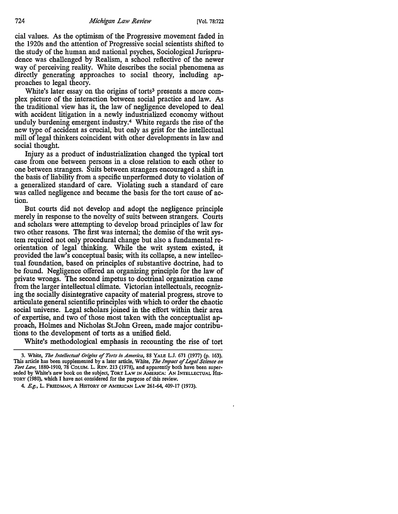cial values. As the optimism of the Progressive movement faded in the 1920s and the attention of Progressive social scientists shifted to the study of the human and national psyches, Sociological Jurisprudence was challenged by Realism,, a school reflective of the newer way of perceiving reality. White describes the social phenomena as directly generating approaches to social theory, including approaches to legal theory.

White's later essay on the origins of torts<sup>3</sup> presents a more complex picture of the interaction between social practice and law. As the traditional view has it, the law of negligence developed to deal with accident litigation in a newly industrialized economy without unduly burdening emergent industry.4 White regards the rise of the new type of accident as crucial, but only as grist for the intellectual mill of legal thinkers coincident with other developments in law and social thought.

Injury as a product of industrialization changed the typical tort case from one between persons in a close relation to each other to one between strangers. Suits between strangers encouraged a shift in the basis of liability from a specific unperformed duty to violation of a generalized standard of care. Violating such a standard of care was called negligence and became the basis for the tort cause of action.

But courts did not develop and adopt the negligence principle merely in response to the novelty of suits between strangers. Courts and scholars were attempting to develop broad principles of law for two other reasons. The first was internal; the demise of the writ system required not only procedural change but also a fundamental reorientation of legal thinking. While the writ system existed, it provided the law's conceptual basis; with its collapse, a new intellectual foundation, based on principles of substantive doctrine, had to be found. Negligence offered an organizing principle for the law of private wrongs. The second impetus to doctrinal organization came from the larger intellectual climate. Victorian intellectuals, recognizing the socially disintegrative capacity of material progress, strove to articulate general scientific principles with which to order the chaotic social universe. Legal scholars joined in the effort within their area of expertise, and two of those most taken with the conceptualist approach, Holmes and Nicholas St.John Green, made major contributions to the. development of torts as a unified field.

White's methodological emphasis in recounting the rise of tort

<sup>3.</sup> White, *The Intellectual Origins of Torts in America*, 88 YALE L.J. 671 (1977) (p. 163). This article has been supplemented by a later article, White, *The Impact of Legal Science on Tort Law,* 1880-1910, 78 CoLUM. L. REV. 213 (1978), and apparently both have been superseded by White's new book on the subject, TORT LAW IN AMERICA: AN INTELLECTUAL HIS-TORY (1980), which I have not considered for the purpose of this review.

<sup>4.</sup> E.g., L. FRIEDMAN, A HISTORY OF AMERICAN LAW 261-64, 409-17 (1973).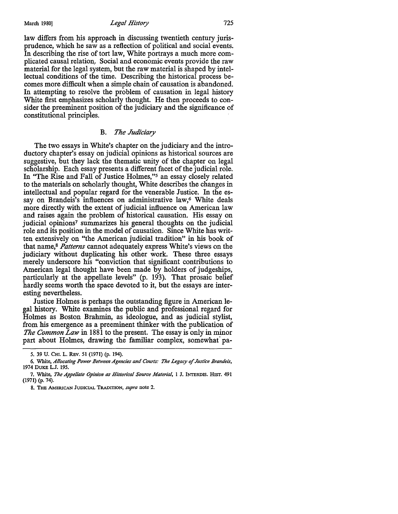law differs from his approach in discussing twentieth century jurisprudence, which he saw as a reflection of political and social events. In describing the rise of tort law, White portrays a much more complicated causal relation\_. Social and economic events provide the raw material for the legal system, but the raw material is shaped by intellectual conditions of the time. Describing the historical process becomes more difficult when a simple chain of causation is abandoned. In attempting to resolve the problem of causation in legal history White first emphasizes scholarly thought. He then proceeds to consider the preeminent position of the judiciary and the significance of constitutional principles.

#### B. *The Judiciary*

The two essays in White's chapter on the judiciary and the introductory chapter's essay on judicial opinions as historical sources are suggestive, but they lack the thematic unity of the chapter on legal scholarship. Each essay presents a different facet of the judicial role. In ''The Rise and Fall of Justice Holmes,"5 an essay closely related to the materials on scholarly thought, White describes the changes in intellectual and popular regard for the venerable Justice. In the essay on Brandeis's influences on administrative law,<sup>6</sup> White deals more directly with the extent of judicial influence on American law and raises again the problem of historical causation. His essay on judicial opinions7 summarizes his general thoughts on the judicial role and its position in the model of causation. Since White has written extensively on "the American judicial tradition" in his book of that name,8 *Patterns* cannot adequately express White's views on the judiciary without duplicating his other work. These three essays merely underscore his "conviction that significant contributions to American legal thought have been made by holders of judgeships, particularly at the appellate levels" (p. 193). That prosaic belief hardly seems worth the space devoted to it, but the essays are interesting nevertheless.

Justice Holmes is perhaps the outstanding figure in American legal history. White examines the public and professional regard for Holmes as Boston Brahmin, as ideologue, and as judicial stylist, from his emergence as a preeminent thinker with the publication of *The Common Law* in 1881 to the present. The essay is only in minor part about Holmes, drawing the familiar complex, somewhat pa-

<sup>5. 39</sup> U. CHI. L. REv. 51 (1971) (p. 194).

<sup>6.</sup> White, *A/localing Power Between Agencies and Courts: The Legacy of Justice Brandeis,*  1974 DUKE L.J. 195.

<sup>7.</sup> White, *The Appellate Opinion as Historical Source Material,* 1 J. INTERDIS. HIST. 491 (1971) (p. 74).

<sup>8.</sup> THE AMERICAN JUDICIAL TRADITION, *supra* note 2.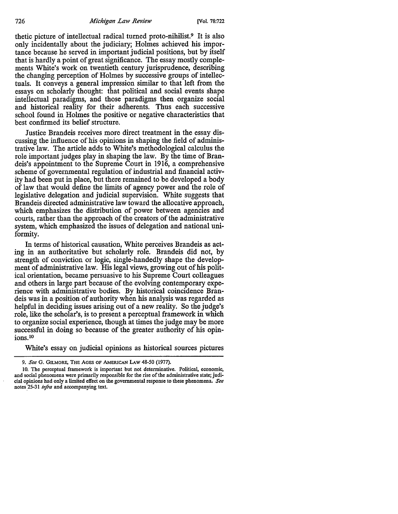726 *Michigan Law Review* [Vol. 78:722

thetic picture of intellectual radical turned proto-nihilist.9 It is also only incidentally about the judiciary; Holmes achieved his importance because he served in important judicial positions, but by itself that is hardly a point of great significance. The essay mostly complements White's work on twentieth century jurisprudence, describing the changing perception of Holmes by successive groups of intellectuals. It conveys a general impression similar to that left from the essays on scholarly thought: that political and social events shape intellectual paradigms, and those paradigms then organize social and historical reality for their adherents. Thus each successive school found in Holmes the positive or negative characteristics that best confirmed its belief structure.

Justice Brandeis receives more direct treatment in the essay discussing the influence of his opinions in shaping the field of administrative law. The article adds to White's methodological calculus the role important judges play in shaping the law. By the time of Brandeis's appointment to the Supreme Court in 1916, a comprehensive scheme of governmental regulation of industrial and financial activity had been put in place, but there remained to be developed a body of law that would define the limits of agency power and the role of legislative delegation and judicial supervision. White suggests that Brandeis directed administrative law toward the allocative approach, which emphasizes the distribution of power between agencies and courts, rather than the approach of the creators of the administrative system, which emphasized the issues of delegation and national uniformity.

In terms of historical causation, White perceives Brandeis as acting in an authoritative but scholarly role. Brandeis did not, by strength of conviction or logic, single-handedly shape the development of administrative law. His legal views, growing out of his political orientation, became persuasive to his Supreme Court colleagues and others in large part because of the evolving contemporary experience with administrative bodies. By historical coincidence Brandeis was in a position of authority when his analysis was regarded as helpful in deciding issues arising out of a new reality. So the judge's role, like the scholar's, is to present a perceptual framework in which to organize social experience, though at times the judge may be more successful in doing so because of the greater authority of his opinions.10

White's essay on judicial opinions as historical sources pictures

<sup>9.</sup> *See* G. GILMORE, THE AGES OF AMERICAN LAW 48-50 (1977).

<sup>10.</sup> The perceptual framework is important but not determinative. Political, economic, and social phenomena were primarily responsible for the rise of the administrative state; judicial opinions had only a limited effect on the governmental response to these phenomena, *See*  notes\_ 25-31 *infra* and accompanying text.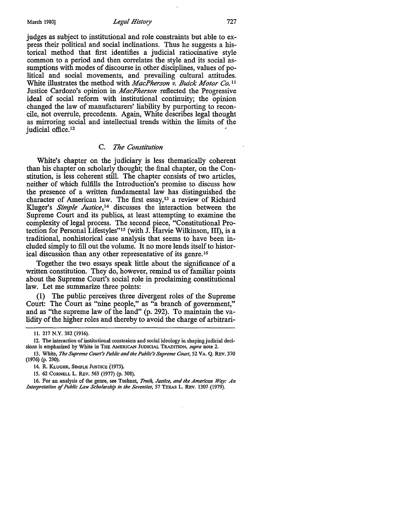judges as subject to institutional and role constraints but able to express their political and social inclinations. Thus he suggests a historical method that first identifies a judicial ratiocinative style common to a period and then correlates the style and its social assumptions with modes of discourse in other disciplines, values of political and social movements, and prevailing cultural attitudes. White illustrates the method with *MacPherson v. Buick Motor Co.* <sup>11</sup> Justice Cardozo's opinion in *MacPherson* reflected the Progressive ideal of social reform with institutional continuity; the opinion changed the law of manufacturers' liability by purporting to reconcile, not overrule, precedents. Again, White describes legal thought as mirroring social and intellectual trends within the limits of the judicial office.<sup>12</sup>

#### C. *The Constitution*

White's chapter on the judiciary is less thematically coherent than his chapter on scholarly thought; the final chapter, on the Constitution, is less coherent still. The chapter consists of two articles, neither of which fulfills the Introduction's promise to discuss how the presence of a written fundamental law has distinguished the character of American law. The first essay,<sup>13</sup> a review of Richard Kluger's *Simple Justice*,<sup>14</sup> discusses the interaction between the Supreme Court and its publics, at least attempting to examine the complexity of legal process. The second piece, "Constitutional Protection for Personal Lifestyles" 15 (with J. Harvie Wilkinson, III), is a traditional, nonhistorical case analysis that seems to have been included simply to fill out the volume. It no more lends itself to historical discussion than any other representative of its genre. 16

Together the two essays speak little about the significance· of a written constitution. They do, however, remind us of familiar points about the Supreme Court's social role in proclaiming constitutional law. Let me summarize three points:

(1) The public perceives three divergent roles of the Supreme Court: The Court as "nine people," as "a branch of government," and as "the supreme law of the land" (p. 292). To maintain the validity of the higher roles and thereby to avoid the charge of arbitrari-

**<sup>11.</sup>** 217 **N.Y.** 382 (1916).

<sup>12.</sup> The interaction of institutional constraints and social ideology in shaping judicial decisions is emphasized by White in THE AMERICAN JUDICIAL TRADITION, *supra* note 2.

<sup>13.</sup> White, *The Supreme Court's Public and the Public's Supreme Court,* 52 VA. Q. REv. 370 (1976) (p. 290).

<sup>14.</sup> R. KLUGER, SIMPLE JUSTICE (1975).

<sup>15. 62</sup> CORNELL L. REV. 563 (1977) (p. 308).

<sup>16.</sup> For an analysis of the genre, see Tushnet, *Truth, Justice, and the American Way: An Interpretation of Public Law Scholarship in the Seventies, 57 TEXAS L. REV. 1307 (1979).*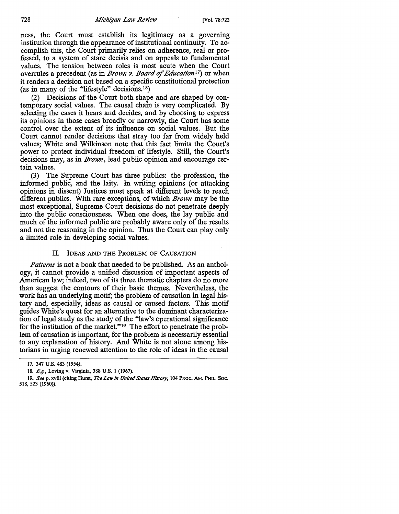ness, the Court must establish its legitimacy as a governing institution through the appearance of institutional continuity. To accomplish this, the Court primarily relies on adherence, real or professed, to a system of stare decisis and on appeals to fundamental values. The tension between roles is most acute when the Court overrules a precedent (as in *Brown v. Board of Education*<sup>17</sup>) or when it renders a decision not based on a specific constitutional protection (as in many of the "lifestyle" decisions. 18)

(2) Decisions of the Court both shape and are shaped by contemporary social values. The causal chain is very complicated. By selecting the cases it hears and decides, and by choosing to express its opinions in those cases broadly or narrowly, the Court has some control over the extent of its influence on social values. But the Court cannot render decisions that stray too far from widely held values; White and Wilkinson note that this fact limits the Court's power to protect individual freedom of lifestyle. Still, the Court's decisions may, as in *Brown,* lead public opinion and encourage certain values.

(3) The Supreme Court has three publics: the profession, the informed public, and the laity. In writing opinions (or attacking opinions in dissent) Justices must speak at different levels to reach different publics. With rare exceptions, of which *Brown* may be the most exceptional, Supreme Court decisions do not penetrate deeply into the public consciousness. When one does, the lay public and much of the informed public are probably aware only of the results and not the reasoning in the opinion. Thus the Court can play only a limited role in developing social values.

#### II. IDEAS AND THE PROBLEM OF CAUSATION

*Patterns* is not a book that needed to be published. As an anthology, it cannot provide a unified discussion of important aspects of American law; indeed, two of its three thematic chapters do no more than suggest the contours of their basic themes. Nevertheless, the work has an underlying motif; the problem of causation in legal history and, especially, ideas as causal or caused factors. This motif guides White's quest for an alternative to the dominant characterization of legal study as the study of the "law's operational significance for the institution of the market."<sup>19</sup> The effort to penetrate the problem of causation is important, for the problem is necessarily essential to any explanation of history. And White is not alone among historians in urging renewed attention to the role of ideas in the causal

<sup>17. 347</sup> U.S. 483 (1954).

<sup>18.</sup> E.g., Loving v. Virginia, 388 U.S. I (1967).

<sup>19.</sup> *Seep.* xviii (citing Hurst, *The Law in United States History,* 104 PROC. AM. PHIL, Soc. 518, 523 (1960)).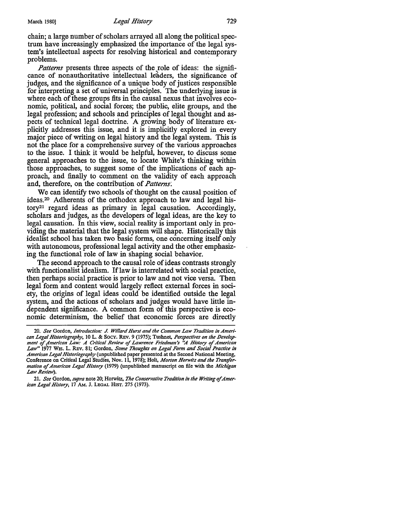chain; a large number of scholars arrayed all along the political spectrum have increasingly emphasized the importance of the legal system's intellectual aspects for resolving historical and contemporary problems.

*Patterns* presents three aspects of the role of ideas: the significance of nonauthoritative intellectual leaders, the significance of judges, and the significance of a unique body of justices responsible for interpreting a set of universal principles. The underlying issue is where each of these groups fits in the causal nexus that involves economic, political, and social forces; the public, elite groups, and the legal profession; and schools and principles of legal thought and aspects of technical legal doctrine. A growing body of literature explicitly addresses this issue, and it is implicitly explored in every major piece of writing on legal history and the legal system. This is not the place for a comprehensive survey of the various approaches to the issue. I think it would be helpful, however, to discuss some general approaches to the issue, to locate White's thinking within those approaches, to suggest some of the implications of each approach, and finally to comment on the validity of each approach and, therefore, on the contribution of *Patterns:* 

We can identify two schools of thought on the causal position of ideas. 20 Adherents of the orthodox approach to law and legal history21 regard ideas as primary in legal causation. Accordingly, scholars and judges, as the developers of legal ideas, are the key to legal causation. In this view, social reality is important only in providing the material that the legal system will shape. Historically this idealist school has taken two basic forms, one concerning itself only with autonomous, professional legal activity and the other emphasizing the functional role of law in shaping social behavior.

The second approach to the causal role of ideas contrasts strongly with functionalist idealism. If law is interrelated with social practice, then perhaps social practice is prior to law and not vice versa. Then legal form and content would largely reflect external forces in society, the origins of legal ideas could be identified outside the legal system, and the actions of scholars and judges would have little independent significance. A common form of this perspective is economic determinism, the belief that economic forces are directly

<sup>20.</sup> *See* Gordon, *Introduction: J. Willard Hurst and the Common Law Tradition in Ameri*can Legal Historiography, 10 L. & Socy. Rev. 9 (1975); Tushnet, Perspectives on the Develop*ment* of *American Law: A Critical Review* of *Lawrence Friedman's* •~ *History* of *American Law"* 1977 Wis. L. REv. 81; Gordon, *Some Thoughts on Legal Form and Social Practice in American Legal Historiography* (unpublished paper presented at the Second National Meeting, Conference on Critical Legal Studies, Nov. 11, 1978); Holt, Morton Horwitz and the Transfor*mation* of *American Legal History* (1979) (unpublished manuscript on file with the *Michigan Law Review).* 

<sup>21.</sup> *See* Gordon, *supra* note 20; Horwitz, *The Conservative Tradition in the Writing* of *American Legal History,* 17 AM. J. LEGAL HIST. 275 (1973).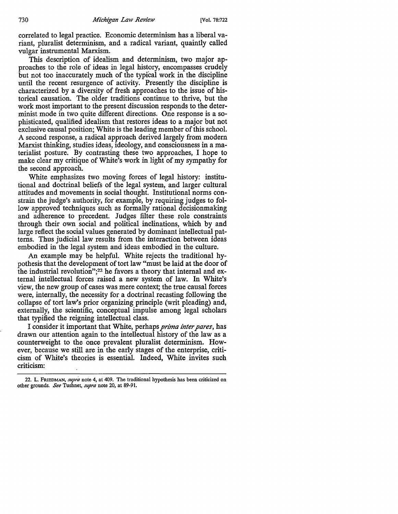correlated to legal practice. Economic determinism has a liberal variant, pluralist determinism, and a radical variant, quaintly called vulgar instrumental Marxism.

This description of idealism and determinism, two major approaches to the role of ideas in legal history, encompasses crudely but not too inaccurately much of the typical work in the discipline until the recent resurgence of activity. Presently the discipline is characterized by a diversity of fresh approaches to the issue of historical causation. The older traditions continue to thrive, but the work most important to the present discussion responds to the determinist mode in two quite different directions. One response is a sophisticated, qualified idealism that restores ideas to a major but not exclusive causal position; White is the leading member of this school. A second response, a radical approach derived largely from modem Marxist thinking, studies ideas, ideology, and consciousness in a materialist posture. By contrasting these two approaches, I hope to make clear my critique of White's work in light of my sympathy for the second approach.

White emphasizes two moving forces of legal history: institutional and doctrinal beliefs of the legal system, and larger cultural attitudes and movements in social thought. Institutional norms constrain the judge's authority, for example, by requiring judges to follow approved techniques such as formally rational decisionmaking and adherence to precedent. Judges filter these role constraints through their own social and political inclinations, which by and large reflect the social values generated by dominant intellectual patterns. Thus judicial law results from the interaction between ideas embodied in the legal system and ideas embodied in the culture.

An example may be helpful. White rejects the traditional hypothesis that the development of tort law "must be laid at the door of the industrial revolution";22 he favors a theory that internal and external intellectual forces raised a new system of law. In White's view, the new group of cases was mere context; the true causal forces were, internally, the necessity for a doctrinal recasting following the collapse of tort law's prior organizing principle (writ pleading) and, externally, the scientific, conceptual impulse among legal scholars that typified the reigning intellectual class.

I consider it important that White, perhaps *prima inter pares,* has drawn our attention again to the intellectual history of the law as a counterweight to the once prevalent pluralist determinism. However, because we still are in the early stages of the enterprise, criticism of White's theories is essential. Indeed, White invites such criticism:

<sup>22.</sup> L. FRIEDMAN, *supra* note 4, at 409. The traditional hypothesis has been criticized on other grounds. *See* Tushnet, *supra* note 20, at 89-91.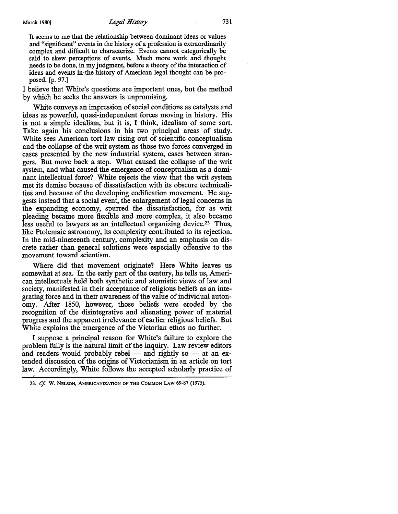It seems to me that the relationship between dominant ideas or values and "significant" events in the history of a profession is extraordinarily complex and difficult to characterize. Events cannot categorically be said to skew perceptions of events. Much more work and thought needs to be done, in my judgment, before a theory of the interaction of ideas and events in· the history of American legal thought can be proposed. [p. 97.]

I believe that White's questions are important ones, but the method by which he seeks the answers is unpromising.

White conveys an impression of social conditions as catalysts and ideas as powerful, quasi-independent forces moving in history. His is not a simple idealism, but it is, I think, idealism of some sort. Take again his conclusions in his two principal areas of study. White sees American tort law rising out of scientific conceptualism and the collapse of the writ system as those two forces converged in cases presented by the new industrial system, cases between strangers. But move back a step. What caused the collapse of the writ system, and what caused the emergence of conceptualism as a dominant intellectual force? White rejects the view that the writ system met its demise because of dissatisfaction with its obscure technicalities and because of the developing codification movement. He suggests instead that a social event, the enlargement of legal concerns in the expanding economy, spurred the dissatisfaction, for as writ pleading became more flexible and more complex, it also became less useful to lawyers as an intellectual organizing device.<sup>23</sup> Thus, like Ptolemaic astronomy, its complexity contributed to its rejection. In the mid-nineteenth century, complexity and an emphasis on discrete rather than general solutions were especially offensive to the movement toward scientism.

Where did that movement originate? Here White leaves us somewhat at sea. In the early part of the century, he tells us, American intellectuals held both synthetic and atomistic views of law and society, manifested in their acceptance of religious beliefs as an integrating force and in their awareness of the value of individual autonomy. After 1850, however, those beliefs were eroded by the recognition of the disintegrative and alienating power of material progress and the apparent irrelevance of earlier religious beliefs. But White explains the emergence of the Victorian ethos no further.

I suppose a principal reason for White's failure to explore the problem fully is the natural limit of the inquiry. Law review editors and readers would probably rebel  $-$  and rightly so  $-$  at an extended discussion of the origins of Victorianism in an article on tort law. Accordingly, White follows the accepted scholarly practice of

<sup>23.</sup> *Cf.* W. NELSON, AMERICANIZATION OF THE COMMON LAW 69-87 (1975).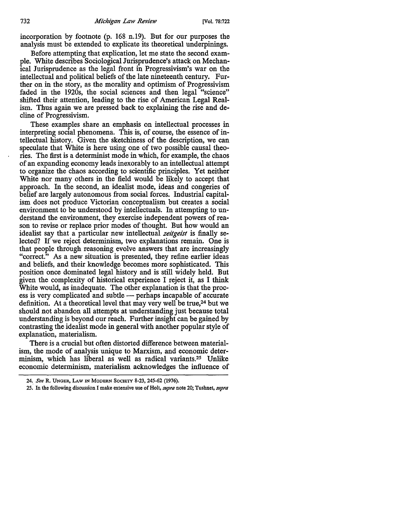incorporation by footnote (p. 168 n.19). But for our purposes the analysis must be extended to explicate its theoretical underpinings.

Before attempting that explication, let me state the second example. White describes Sociological Jurisprudence's attack on Mechanical Jurisprudence as the legal front in Progressivism's war on the intellectual and political beliefs of the late nineteenth century. Further on in the story, as the morality and optimism of Progressivism faded in the 1920s, the social sciences and then legal "science" shifted their attention, leading to the rise of American Legal Realism. Thus again we are pressed back to explaining the rise and decline of Progressivism.

These examples share an emphasis on intellectual processes in interpreting social phenomena. This is, of course, the essence of intellectual history. Given the sketchiness of the description, we can speculate that White is here using one of two possible causal theories. The first is a determinist mode in which, for example, the chaos of an expanding economy leads inexorably to an intellectual attempt to organize the chaos according to scientific principles. Yet neither White nor many others in the field would be likely to accept that approach. In the second, an idealist mode, ideas and congeries of belief are largely autonomous from social forces. Industrial capitalism does not produce Victorian conceptualism but creates a social environment to be understood by intellectuals. In attempting to understand the environment, they exercise independent powers of reason to revise or replace prior modes of thought. But how would an idealist say that a particular new intellectual *zeitgeist* is finally selected? If we reject determinism, two explanations remain. One is that people through reasoning evolve answers that are increasingly "correct." As a new situation is presented, they refine earlier ideas and beliefs, and their knowledge becomes more sophisticated. This position once dominated legal history and is still widely held. But given the complexity of historical experience I reject it, as I think White would, as inadequate. The other explanation is that the process is very complicated and subtle - perhaps incapable of accurate definition. At a theoretical level that may very well be true,<sup>24</sup> but we should not abandon all attempts at understanding just because total understanding is beyond our reach. Further insight can be gained by contrasting the idealist mode in general with another popular style of explanation, materialism.

There is a crucial but often distorted difference between materialism, the mode of analysis unique to Marxism, and economic determinism, which has liberal as well as radical variants.25 Unlike economic determinism, materialism acknowledges the influence of

<sup>24.</sup>\_ *See* R. UNGER, LAW IN MODERN SOCIETY 8-23, 245-62 (1976).

<sup>25.</sup> In the following discussion I make extensive use of Holt, *supra* note 20; Tushnet, *supra*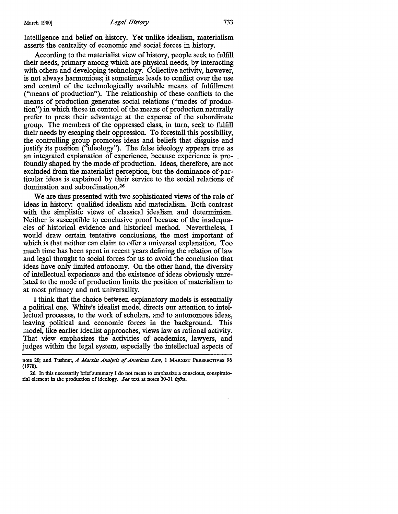intelligence and belief on history. Yet unlike idealism, materialism asserts the centrality of economic and social forces in history.

According to the materialist view of history, people seek to fulfill their needs, primary among which are physical needs, by interacting with others and developing technology. Collective activity, however, is not always harmonious; it sometimes leads to conflict over the use and control of the technologically available means of fulfillment ("means of production"). The relationship of these conflicts to the means of production generates social relations ("modes of production") in which those in control of the means of production naturally prefer to press their advantage at the expense of the subordinate group. The members of the oppressed class, in tum, seek to fulfill their needs by escaping their oppression. To forestall this possibility, the controlling group promotes ideas and beliefs that disguise and justify its position ("ideology"). The false ideology appears true as an integrated explanation of experience, because experience is profoundly shaped by the mode of production. Ideas, therefore, are not excluded from the materialist perception, but the dominance of particular ideas is explained by their service to the social relations of domination and subordination.26

We are thus presented with two sophisticated views of the role of ideas in history: qualified idealism and materialism. Both contrast with the simplistic views of classical idealism and determinism. Neither is susceptible to conclusive proof because of the inadequacies of historical evidence and historical method. Nevertheless, I would draw certain tentative conclusions, the most important of which is that neither can claim to offer a universal explanation. Too much time has been spent in recent years defining the relation of law and legal thought to social forces for us to avoid the conclusion that ideas have only limited autonomy. On the other hand, the diversity of intellectual experience and the existence of ideas obviously unrelated to the mode of production limits the position of materialism to at most primacy and not universality.

I think that the choice between explanatory models is essentially a political one. White's idealist model directs our attention to intellectual processes, to the work of scholars, and to autonomous ideas, leaving political and economic forces in the background. This model, like earlier idealist approaches, views law as rational activity. That view emphasizes the activities of academics, lawyers, and judges within the legal system, especially the intellectual aspects of

note 20; and Tushnet, *A Marxist Analysis of American Law,* l MARxlsT PERSPECTIVES 96 (1978).

<sup>26.</sup> In this necessarily brief summary I do not mean to emphasize a conscious, conspiratorial element in the production of ideology. *See* text at notes 30-31 *infra.*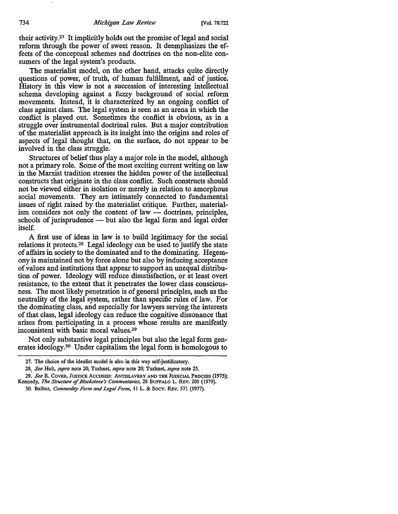their activity.<sup>27</sup> It implicitly holds out the promise of legal and social reform through the power of sweet reason. It deemphasizes the effects of the conceptual schemes and doctrines on the non-elite consumers of the legal system's products.

The materialist model, on the other hand, attacks quite directly questions of power, of truth, of human fulfillment, and of justice. History in this view is not a succession of interesting intellectual schema developing against a fuzzy background of social reform movements. Instead, it is characterized by an ongoing conflict of class against class. The legal system is seen as an arena in which the conflict is played out. Sometimes the conflict is obvious, as in a struggle over instrumental doctrinal rules. But a major contribution of the materialist approach is its insight into the origins and roles of aspects of legal thought that, on the surface, do not appear to be involved in the class struggle.

Structures of belief thus play a major role in the model, although not a primary role. Some of the most exciting current writing on law in the Marxist tradition stresses the hidden power of the intellectual constructs that originate in the class conflict. Such constructs should not be viewed either in isolation or merely in relation to amorphous social movements. They are intimately connected to fundamental issues of right raised by the materialist critique. Further, materialism considers not only the content of law  $-$  doctrines, principles, schools of jurisprudence — but also the legal form and legal order itself.

A first use of ideas in law is to build legitimacy for the social relations it protects.28 Legal ideology can be used to justify the state of affairs in society to the dominated and to the dominating. Hegemony is maintained not by force alone but also by inducing acceptance of values and institutions that appear to support an unequal distribution of power. Ideology will reduce dissatisfaction, or at least overt resistance, to the extent that it penetrates the lower class consciousness. The most likely penetration is of general principles, such as the neutrality of the legal system, rather than specific rules of law. For the dominating class, and especially for lawyers serving the interests of that class, legal ideology can reduce the cognitive dissonance that arises from participating in a process whose results are manifestly inconsistent with basic moral values.29

Not only substantive legal principles but also the legal form generates ideology.30 Under capitalism the legal form is homologous to

<sup>27.</sup> The choice of the idealist model is also in this way self-justificatory.

<sup>28~</sup> *See* Holt, *supra* note 20; Tushnet, *supra* note 20; Tushnet, *supra* note 25.

<sup>29.</sup> *See* R COVER, JUSTICE ACCUSED: ANTISLAVERY AND THE JUDICIAL PROCESS (1975); Kennedy, *The Structure of Blackstone's Commentaries,* 28 BUFFALO L. REV. 205 (1979).

<sup>30.</sup> Balbus, *Commodity Form and Legal Form,* 11 L. & Socv. REV. 571 (1977).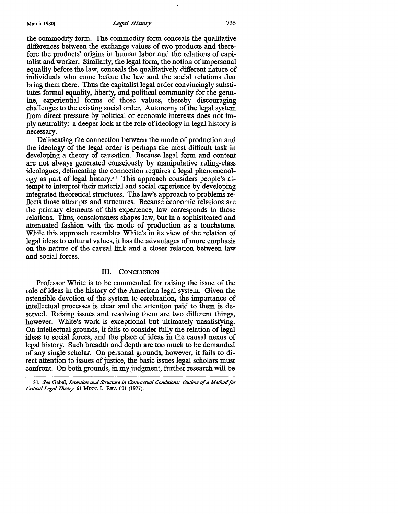the commodity form. The commodity form conceals the qualitative differences between the exchange values of two products and therefore the products' origins in human labor and the relations of capitalist and worker. Similarly, the legal form, the notion of impersonal equality before the law, conceals the qualitatively different nature of individuals who come before the law and the social relations that bring them there. Thus the capitalist legal order convincingly substitutes formal equality, liberty, and political community for the genuine, experiential forms of those values, thereby discouraging challenges to the existing social order. Autonomy of the legal system from direct pressure by political or economic interests does not imply neutrality: a deeper look at the role of ideology in legal history is necessary.

Delineating the connection between the mode of production and the ideology of the legal order is perhaps the most difficult task in developing a theory of causation. Because legal form and content are not always generated consciously by manipulative ruling-class ideologues, delineating the connection requires a legal phenomenology as part of legal history.31 This approach considers people's attempt to interpret their material and social experience by developing integrated theoretical structures. The law's approach to problems reflects those attempts and structures. Because economic relations are the primary elements of this experience, law corresponds to those relations. Thus, consciousness shapes law, but in a sophisticated and attenuated fashion with the mode of production as a touchstone. While this approach resembles White's in its view of the relation of legal ideas to cultural values, it has the advantages of more emphasis on the nature of the causal link and a closer relation between law and social forces.

#### III. **CONCLUSION**

Professor White is to be commended for raising the issue of the role of ideas in the history of the American legal system. Given the ostensible devotion of the system to cerebration, the importance of intellectual processes is clear and the attention paid to them is deserved. Raising issues and resolving them are two different things, however. White's work is exceptional but ultimately unsatisfying. On intellectual grounds, it fails to consider fully the relation of legal ideas to social forces, and the place of ideas in the causal nexus of legal history. Such breadth and depth are too much to be demanded of any single scholar. On personal grounds, however, it fails to direct attention to issues of justice, the basic issues legal scholars must confront. On both grounds, in my judgment, further research will be

<sup>3</sup> I. *See* Gabel, *Intention and Structure in Contractual Conditions: Outline of' a Method far Critical Legal Theory,* 61 MINN. L. REv. 601 (1977) ..